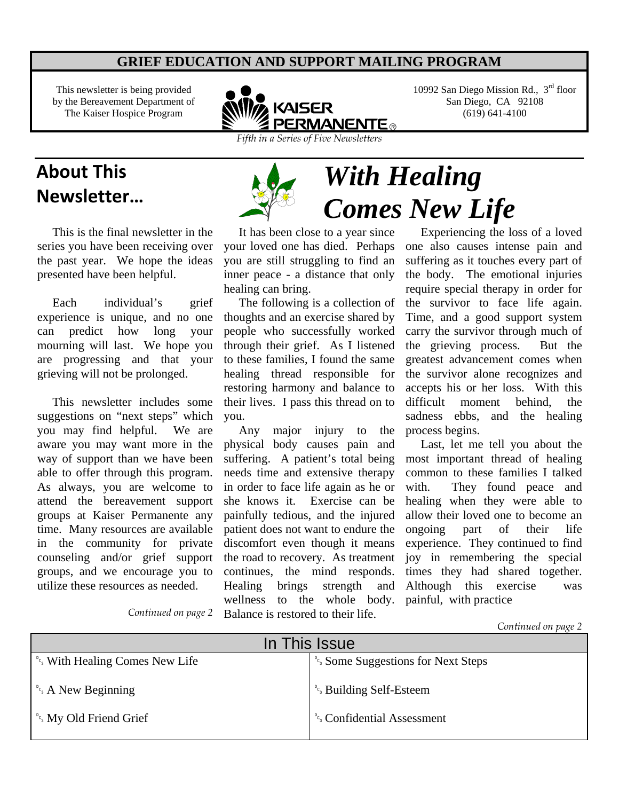#### **GRIEF EDUCATION AND SUPPORT MAILING PROGRAM**

This newsletter is being provided by the Bereavement Department of The Kaiser Hospice Program



10992 San Diego Mission Rd.,  $3<sup>rd</sup>$  floor San Diego, CA 92108 (619) 641-4100

*Comes New Life* 

*Fifth in a Series of Five Newsletters* 

### **About This Newsletter…** *With Healing*

 This is the final newsletter in the series you have been receiving over the past year. We hope the ideas presented have been helpful.

Each individual's grief experience is unique, and no one can predict how long your mourning will last. We hope you are progressing and that your grieving will not be prolonged.

 This newsletter includes some suggestions on "next steps" which you may find helpful. We are aware you may want more in the way of support than we have been able to offer through this program. As always, you are welcome to attend the bereavement support groups at Kaiser Permanente any time. Many resources are available in the community for private counseling and/or grief support groups, and we encourage you to utilize these resources as needed.



 It has been close to a year since your loved one has died. Perhaps you are still struggling to find an inner peace - a distance that only healing can bring.

 The following is a collection of thoughts and an exercise shared by people who successfully worked through their grief. As I listened to these families, I found the same healing thread responsible for restoring harmony and balance to their lives. I pass this thread on to you.

 Any major injury to the physical body causes pain and suffering. A patient's total being needs time and extensive therapy in order to face life again as he or she knows it. Exercise can be painfully tedious, and the injured patient does not want to endure the discomfort even though it means the road to recovery. As treatment continues, the mind responds. Healing brings strength and wellness to the whole body. Balance is restored to their life.

 Experiencing the loss of a loved one also causes intense pain and suffering as it touches every part of the body. The emotional injuries require special therapy in order for the survivor to face life again. Time, and a good support system carry the survivor through much of the grieving process. But the greatest advancement comes when the survivor alone recognizes and accepts his or her loss. With this difficult moment behind, the sadness ebbs, and the healing process begins.

 Last, let me tell you about the most important thread of healing common to these families I talked with. They found peace and healing when they were able to allow their loved one to become an ongoing part of their life experience. They continued to find joy in remembering the special times they had shared together. Although this exercise was painful, with practice

*Continued on page 2*

*Continued on page 2*

| In This Issue                                                      |                                                                  |
|--------------------------------------------------------------------|------------------------------------------------------------------|
| <sup>°</sup> <sup>c</sup> <sub>3</sub> With Healing Comes New Life | <sup><i>°c<sub>s</sub></i></sup> Some Suggestions for Next Steps |
| $^{\circ}$ <sub>c</sub> <sub>s</sub> A New Beginning               | <sup><i>°c<sub>3</sub></i> Building Self-Esteem</sup>            |
| <sup>D</sup> <sub>c</sub> <sub>3</sub> My Old Friend Grief         | <sup><i>°c<sub>3</sub></i> Confidential Assessment</sup>         |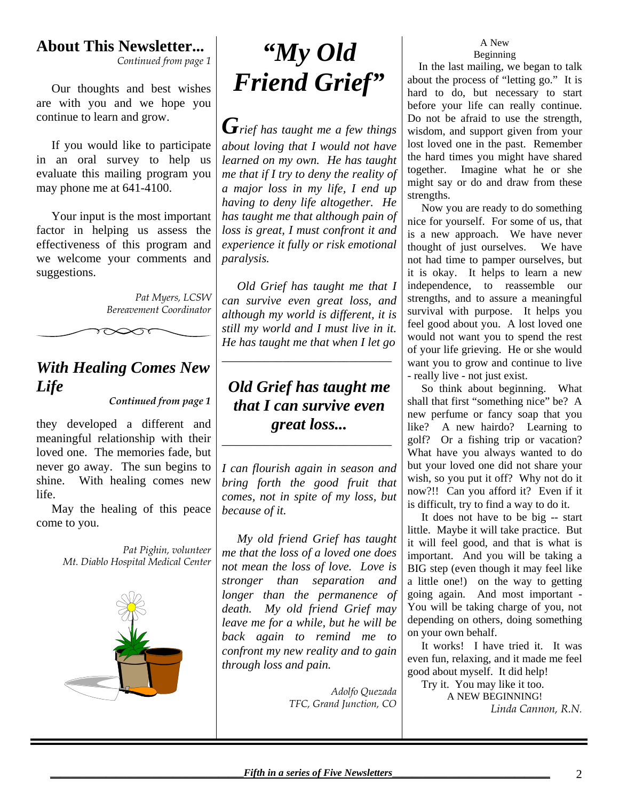### **About This Newsletter...**

*Continued from page 1* 

 Our thoughts and best wishes are with you and we hope you continue to learn and grow.

 If you would like to participate in an oral survey to help us evaluate this mailing program you may phone me at 641-4100.

 Your input is the most important factor in helping us assess the effectiveness of this program and we welcome your comments and suggestions.

> *Pat Myers, LCSW Bereavement Coordinator*

#### *With Healing Comes New Life*

 $\infty$ ক

*Continued from page 1*

they developed a different and meaningful relationship with their loved one. The memories fade, but never go away. The sun begins to shine. With healing comes new life.

 May the healing of this peace come to you.

> *Pat Pighin, volunteer Mt. Diablo Hospital Medical Center*



## *"My Old Friend Grief"*

*Grief has taught me a few things about loving that I would not have learned on my own. He has taught me that if I try to deny the reality of a major loss in my life, I end up having to deny life altogether. He has taught me that although pain of loss is great, I must confront it and experience it fully or risk emotional paralysis.* 

 *Old Grief has taught me that I can survive even great loss, and although my world is different, it is still my world and I must live in it. He has taught me that when I let go* 

*\_\_\_\_\_\_\_\_\_\_\_\_\_\_\_\_\_\_\_\_\_\_\_\_\_\_\_\_* 

### *Old Grief has taught me that I can survive even great loss...*

*\_\_\_\_\_\_\_\_\_\_\_\_\_\_\_\_\_\_\_\_\_\_\_\_\_\_\_\_* 

*I can flourish again in season and bring forth the good fruit that comes, not in spite of my loss, but because of it.* 

 *My old friend Grief has taught me that the loss of a loved one does not mean the loss of love. Love is stronger than separation and longer than the permanence of death. My old friend Grief may leave me for a while, but he will be back again to remind me to confront my new reality and to gain through loss and pain.* 

> *Adolfo Quezada TFC, Grand Junction, CO*

#### A New Beginning

 In the last mailing, we began to talk about the process of "letting go." It is hard to do, but necessary to start before your life can really continue. Do not be afraid to use the strength, wisdom, and support given from your lost loved one in the past. Remember the hard times you might have shared together. Imagine what he or she might say or do and draw from these strengths.

 Now you are ready to do something nice for yourself. For some of us, that is a new approach. We have never thought of just ourselves. We have not had time to pamper ourselves, but it is okay. It helps to learn a new independence, to reassemble our strengths, and to assure a meaningful survival with purpose. It helps you feel good about you. A lost loved one would not want you to spend the rest of your life grieving. He or she would want you to grow and continue to live - really live - not just exist.

 So think about beginning. What shall that first "something nice" be? A new perfume or fancy soap that you like? A new hairdo? Learning to golf? Or a fishing trip or vacation? What have you always wanted to do but your loved one did not share your wish, so you put it off? Why not do it now?!! Can you afford it? Even if it is difficult, try to find a way to do it.

 It does not have to be big -- start little. Maybe it will take practice. But it will feel good, and that is what is important. And you will be taking a BIG step (even though it may feel like a little one!) on the way to getting going again. And most important - You will be taking charge of you, not depending on others, doing something on your own behalf.

 It works! I have tried it. It was even fun, relaxing, and it made me feel good about myself. It did help!

 Try it. You may like it too. A NEW BEGINNING! *Linda Cannon, R.N.*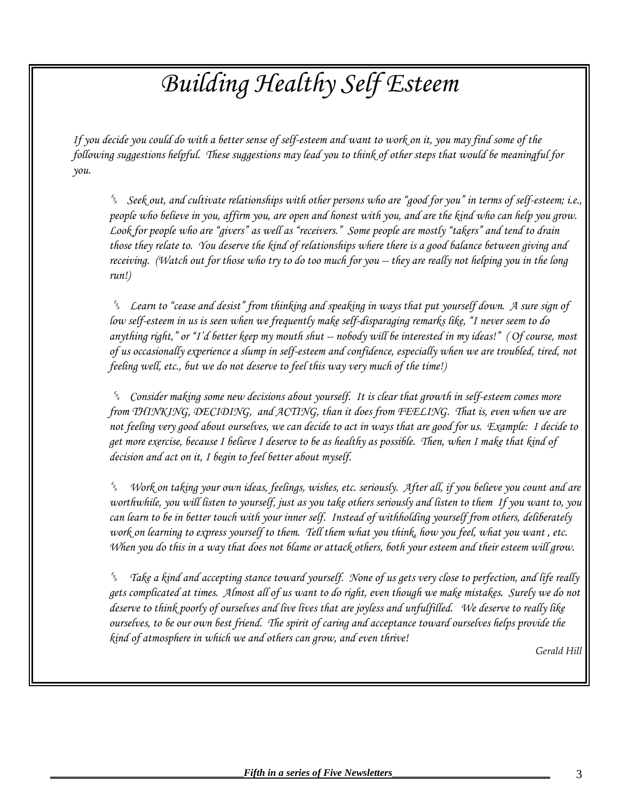# *Building Healthy Self Esteem*

*If you decide you could do with a better sense of self-esteem and want to work on it, you may find some of the following suggestions helpful. These suggestions may lead you to think of other steps that would be meaningful for you.* 

 *Seek out, and cultivate relationships with other persons who are "good for you" in terms of self-esteem; i.e.,*  people who believe in you, affirm you, are open and honest with you, and are the kind who can help you grow. *Look for people who are "givers" as well as "receivers." Some people are mostly "takers" and tend to drain those they relate to. You deserve the kind of relationships where there is a good balance between giving and receiving. (Watch out for those who try to do too much for you -- they are really not helping you in the long run!)* 

 *Learn to "cease and desist" from thinking and speaking in ways that put yourself down. A sure sign of low self-esteem in us is seen when we frequently make self-disparaging remarks like, "I never seem to do anything right," or "I'd better keep my mouth shut -- nobody will be interested in my ideas!" ( Of course, most of us occasionally experience a slump in self-esteem and confidence, especially when we are troubled, tired, not feeling well, etc., but we do not deserve to feel this way very much of the time!)* 

 *Consider making some new decisions about yourself. It is clear that growth in self-esteem comes more from THINKING, DECIDING, and ACTING, than it does from FEELING. That is, even when we are not feeling very good about ourselves, we can decide to act in ways that are good for us. Example: I decide to get more exercise, because I believe I deserve to be as healthy as possible. Then, when I make that kind of decision and act on it, I begin to feel better about myself.* 

 *Work on taking your own ideas, feelings, wishes, etc. seriously. After all, if you believe you count and are worthwhile, you will listen to yourself, just as you take others seriously and listen to them If you want to, you can learn to be in better touch with your inner self. Instead of withholding yourself from others, deliberately work on learning to express yourself to them. Tell them what you think, how you feel, what you want , etc. When you do this in a way that does not blame or attack others, both your esteem and their esteem will grow.* 

 *Take a kind and accepting stance toward yourself. None of us gets very close to perfection, and life really gets complicated at times. Almost all of us want to do right, even though we make mistakes. Surely we do not deserve to think poorly of ourselves and live lives that are joyless and unfulfilled. We deserve to really like ourselves, to be our own best friend. The spirit of caring and acceptance toward ourselves helps provide the kind of atmosphere in which we and others can grow, and even thrive!* 

*Gerald Hill*